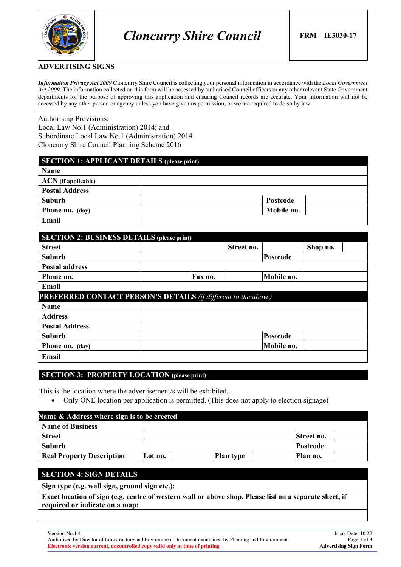

#### **ADVERTISING SIGNS**

*Information Privacy Act 2009* Cloncurry Shire Council is collecting your personal information in accordance with the *Local Government Act 2009*. The information collected on this form will be accessed by authorised Council officers or any other relevant State Government departments for the purpose of approving this application and ensuring Council records are accurate. Your information will not be accessed by any other person or agency unless you have given us permission, or we are required to do so by law.

#### Authorising Provisions:

Local Law No.1 (Administration) 2014; and Subordinate Local Law No.1 (Administration) 2014 Cloncurry Shire Council Planning Scheme 2016

| <b>SECTION 1: APPLICANT DETAILS (please print)</b> |            |  |  |  |
|----------------------------------------------------|------------|--|--|--|
| <b>Name</b>                                        |            |  |  |  |
| <b>ACN</b> (if applicable)                         |            |  |  |  |
| <b>Postal Address</b>                              |            |  |  |  |
| Suburb                                             | Postcode   |  |  |  |
| <b>Phone no.</b> (day)                             | Mobile no. |  |  |  |
| Email                                              |            |  |  |  |

| <b>SECTION 2: BUSINESS DETAILS (please print)</b>                     |         |            |            |          |  |
|-----------------------------------------------------------------------|---------|------------|------------|----------|--|
| <b>Street</b>                                                         |         | Street no. |            | Shop no. |  |
| <b>Suburb</b>                                                         |         |            | Postcode   |          |  |
| <b>Postal address</b>                                                 |         |            |            |          |  |
| Phone no.                                                             | Fax no. |            | Mobile no. |          |  |
| Email                                                                 |         |            |            |          |  |
| <b>PREFERRED CONTACT PERSON'S DETAILS (if different to the above)</b> |         |            |            |          |  |
| <b>Name</b>                                                           |         |            |            |          |  |
| <b>Address</b>                                                        |         |            |            |          |  |
| <b>Postal Address</b>                                                 |         |            |            |          |  |
| <b>Suburb</b>                                                         |         |            | Postcode   |          |  |
| Phone no. (day)                                                       |         |            | Mobile no. |          |  |
| Email                                                                 |         |            |            |          |  |

## **SECTION 3: PROPERTY LOCATION (please print)**

This is the location where the advertisement/s will be exhibited.

• Only ONE location per application is permitted. (This does not apply to election signage)

| Name & Address where sign is to be erected |         |                  |                   |  |
|--------------------------------------------|---------|------------------|-------------------|--|
| <b>Name of Business</b>                    |         |                  |                   |  |
| <b>Street</b>                              |         |                  | <b>Street no.</b> |  |
| Suburb                                     |         |                  | Postcode          |  |
| <b>Real Property Description</b>           | Lot no. | <b>Plan type</b> | Plan no.          |  |

## **SECTION 4: SIGN DETAILS**

**Sign type (e.g. wall sign, ground sign etc.):**

**Exact location of sign (e.g. centre of western wall or above shop. Please list on a separate sheet, if required or indicate on a map:**

Authorised by Director of Infrastructure and Environment Document maintained by Planning and Environment Page **1** of **3 Electronic version current, uncontrolled copy valid only at time of printing**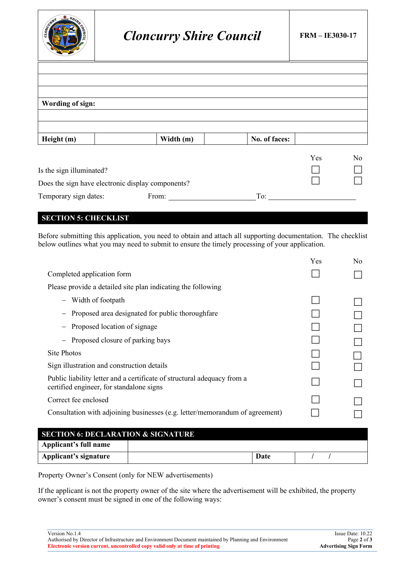

# *Cloncurry Shire Council* **FRM – IE3030-17**

| Wording of sign:                                  |           |               |     |    |
|---------------------------------------------------|-----------|---------------|-----|----|
|                                                   |           |               |     |    |
|                                                   |           |               |     |    |
| Height (m)                                        | Width (m) | No. of faces: |     |    |
|                                                   |           |               | Yes | No |
| Is the sign illuminated?                          |           |               |     |    |
| Does the sign have electronic display components? |           |               |     |    |
| Temporary sign dates:                             | From:     | To:           |     |    |

# **SECTION 5: CHECKLIST**

Before submitting this application, you need to obtain and attach all supporting documentation. The checklist below outlines what you may need to submit to ensure the timely processing of your application.

|                                                                                                                     | Yes | No |
|---------------------------------------------------------------------------------------------------------------------|-----|----|
| Completed application form                                                                                          |     |    |
| Please provide a detailed site plan indicating the following                                                        |     |    |
| - Width of footpath                                                                                                 |     |    |
| Proposed area designated for public thoroughfare                                                                    |     |    |
| Proposed location of signage                                                                                        |     |    |
| Proposed closure of parking bays                                                                                    |     |    |
| Site Photos                                                                                                         |     |    |
| Sign illustration and construction details                                                                          |     |    |
| Public liability letter and a certificate of structural adequacy from a<br>certified engineer, for standalone signs |     |    |
| Correct fee enclosed                                                                                                |     |    |
| Consultation with adjoining businesses (e.g. letter/memorandum of agreement)                                        |     |    |
|                                                                                                                     |     |    |
| <b>SECTION 6: DECLARATION &amp; SIGNATURE</b>                                                                       |     |    |
| Annlicant's full name                                                                                               |     |    |

**Applicant's full name Applicant's signature Date** / / /

Property Owner's Consent (only for NEW advertisements)

If the applicant is not the property owner of the site where the advertisement will be exhibited, the property owner's consent must be signed in one of the following ways:

Authorised by Director of Infrastructure and Environment Document maintained by Planning and Environment Page **2** of **3 Electronic version current, uncontrolled copy valid only at time of printing**